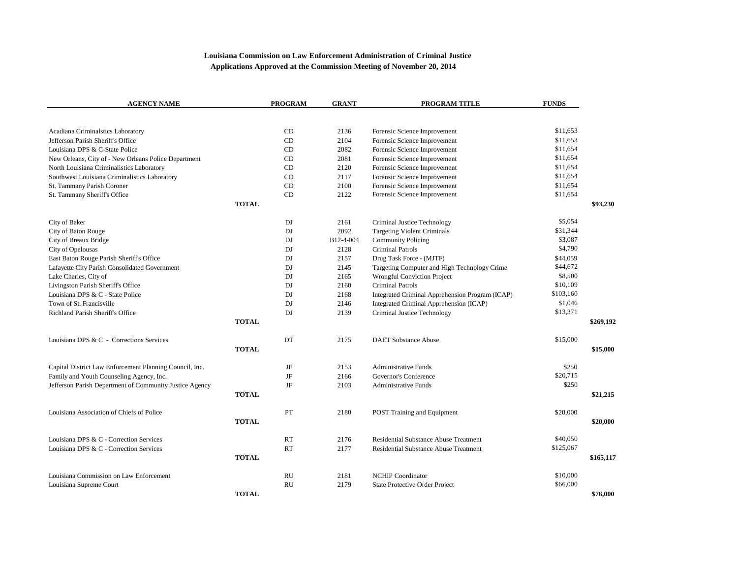## **Louisiana Commission on Law Enforcement Administration of Criminal Justice Applications Approved at the Commission Meeting of November 20, 2014**

| <b>AGENCY NAME</b>                                      | <b>PROGRAM</b> | <b>GRANT</b> | PROGRAM TITLE                                   | <b>FUNDS</b> |           |
|---------------------------------------------------------|----------------|--------------|-------------------------------------------------|--------------|-----------|
|                                                         |                |              |                                                 |              |           |
| Acadiana Criminalstics Laboratory                       | CD             | 2136         | Forensic Science Improvement                    | \$11,653     |           |
| Jefferson Parish Sheriff's Office                       | CD             | 2104         | Forensic Science Improvement                    | \$11,653     |           |
| Louisiana DPS & C-State Police                          | CD             | 2082         | Forensic Science Improvement                    | \$11,654     |           |
| New Orleans, City of - New Orleans Police Department    | CD             | 2081         | Forensic Science Improvement                    | \$11,654     |           |
| North Louisiana Criminalistics Laboratory               | CD             | 2120         | Forensic Science Improvement                    | \$11,654     |           |
| Southwest Louisiana Criminalistics Laboratory           | CD             | 2117         | Forensic Science Improvement                    | \$11,654     |           |
| St. Tammany Parish Coroner                              | CD             | 2100         | Forensic Science Improvement                    | \$11,654     |           |
| St. Tammany Sheriff's Office                            | CD             | 2122         | Forensic Science Improvement                    | \$11,654     |           |
|                                                         | <b>TOTAL</b>   |              |                                                 |              | \$93,230  |
| City of Baker                                           | DJ             | 2161         | Criminal Justice Technology                     | \$5,054      |           |
| City of Baton Rouge                                     | DJ             | 2092         | <b>Targeting Violent Criminals</b>              | \$31,344     |           |
| City of Breaux Bridge                                   | DJ             | B12-4-004    | <b>Community Policing</b>                       | \$3,087      |           |
| City of Opelousas                                       | DJ             | 2128         | <b>Criminal Patrols</b>                         | \$4,790      |           |
| East Baton Rouge Parish Sheriff's Office                | DJ             | 2157         | Drug Task Force - (MJTF)                        | \$44,059     |           |
| Lafayette City Parish Consolidated Government           | DI             | 2145         | Targeting Computer and High Technology Crime    | \$44,672     |           |
| Lake Charles, City of                                   | DJ             | 2165         | <b>Wrongful Conviction Project</b>              | \$8,500      |           |
| Livingston Parish Sheriff's Office                      | DJ             | 2160         | <b>Criminal Patrols</b>                         | \$10,109     |           |
| Louisiana DPS & C - State Police                        | DJ             | 2168         | Integrated Criminal Apprehension Program (ICAP) | \$103,160    |           |
| Town of St. Francisville                                | DJ             | 2146         | Integrated Criminal Apprehension (ICAP)         | \$1,046      |           |
| Richland Parish Sheriff's Office                        | DJ             | 2139         | Criminal Justice Technology                     | \$13,371     |           |
|                                                         | <b>TOTAL</b>   |              |                                                 |              | \$269,192 |
| Louisiana DPS & C - Corrections Services                | DT             | 2175         | <b>DAET Substance Abuse</b>                     | \$15,000     |           |
|                                                         | <b>TOTAL</b>   |              |                                                 |              | \$15,000  |
| Capital District Law Enforcement Planning Council, Inc. | JF             | 2153         | <b>Administrative Funds</b>                     | \$250        |           |
| Family and Youth Counseling Agency, Inc.                | JF             | 2166         | Governor's Conference                           | \$20,715     |           |
| Jefferson Parish Department of Community Justice Agency | JF             | 2103         | <b>Administrative Funds</b>                     | \$250        |           |
|                                                         | <b>TOTAL</b>   |              |                                                 |              | \$21,215  |
| Louisiana Association of Chiefs of Police               | PT             | 2180         | POST Training and Equipment                     | \$20,000     |           |
|                                                         | <b>TOTAL</b>   |              |                                                 |              | \$20,000  |
| Louisiana DPS & C - Correction Services                 | <b>RT</b>      | 2176         | <b>Residential Substance Abuse Treatment</b>    | \$40,050     |           |
| Louisiana DPS & C - Correction Services                 | RT             | 2177         | Residential Substance Abuse Treatment           | \$125,067    |           |
|                                                         | <b>TOTAL</b>   |              |                                                 |              | \$165,117 |
| Louisiana Commission on Law Enforcement                 | RU             | 2181         | <b>NCHIP Coordinator</b>                        | \$10,000     |           |
| Louisiana Supreme Court                                 | <b>RU</b>      | 2179         | <b>State Protective Order Project</b>           | \$66,000     |           |
|                                                         | <b>TOTAL</b>   |              |                                                 |              | \$76,000  |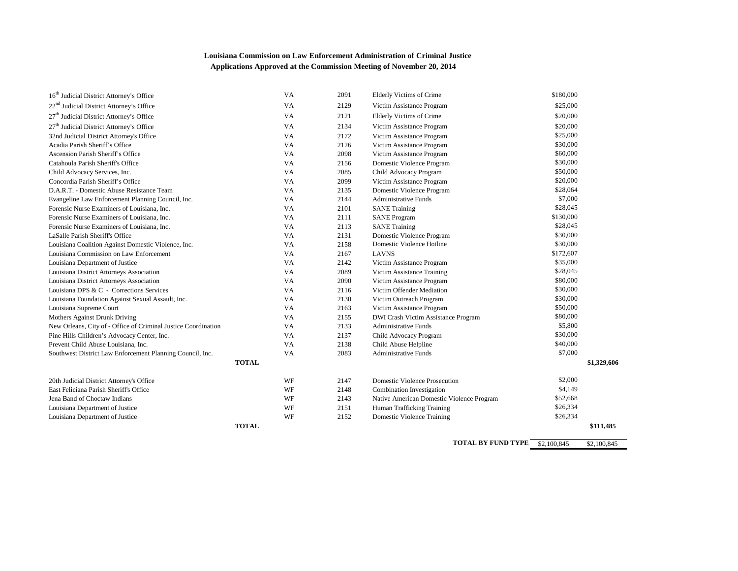## **Louisiana Commission on Law Enforcement Administration of Criminal Justice Applications Approved at the Commission Meeting of November 20, 2014**

| <b>TOTAL</b>                                                              |           |      |                                           |           | \$111,485   |
|---------------------------------------------------------------------------|-----------|------|-------------------------------------------|-----------|-------------|
| Louisiana Department of Justice                                           | WF        | 2152 | <b>Domestic Violence Training</b>         | \$26,334  |             |
| Louisiana Department of Justice                                           | WF        | 2151 | Human Trafficking Training                | \$26,334  |             |
| Jena Band of Choctaw Indians                                              | WF        | 2143 | Native American Domestic Violence Program | \$52,668  |             |
| East Feliciana Parish Sheriff's Office                                    | WF        | 2148 | Combination Investigation                 | \$4,149   |             |
| 20th Judicial District Attorney's Office                                  | WF        | 2147 | <b>Domestic Violence Prosecution</b>      | \$2,000   |             |
|                                                                           |           |      |                                           |           |             |
| Southwest District Law Enforcement Planning Council, Inc.<br><b>TOTAL</b> | VA        | 2083 | <b>Administrative Funds</b>               | \$7,000   | \$1,329,606 |
| Prevent Child Abuse Louisiana, Inc.                                       | VA        | 2138 | Child Abuse Helpline                      | \$40,000  |             |
| Pine Hills Children's Advocacy Center, Inc.                               | VA        | 2137 | Child Advocacy Program                    | \$30,000  |             |
| New Orleans, City of - Office of Criminal Justice Coordination            | VA        | 2133 | <b>Administrative Funds</b>               | \$5,800   |             |
| Mothers Against Drunk Driving                                             | VA        | 2155 | DWI Crash Victim Assistance Program       | \$80,000  |             |
| Louisiana Supreme Court                                                   | <b>VA</b> | 2163 | Victim Assistance Program                 | \$50,000  |             |
| Louisiana Foundation Against Sexual Assault, Inc.                         | VA        | 2130 | Victim Outreach Program                   | \$30,000  |             |
| Louisiana DPS & C - Corrections Services                                  | VA        | 2116 | Victim Offender Mediation                 | \$30,000  |             |
| Louisiana District Attorneys Association                                  | VA        | 2090 | Victim Assistance Program                 | \$80,000  |             |
| Louisiana District Attorneys Association                                  | VA        | 2089 | Victim Assistance Training                | \$28,045  |             |
| Louisiana Department of Justice                                           | VA        | 2142 | Victim Assistance Program                 | \$35,000  |             |
| Louisiana Commission on Law Enforcement                                   | VA        | 2167 | <b>LAVNS</b>                              | \$172,607 |             |
| Louisiana Coalition Against Domestic Violence, Inc.                       | VA        | 2158 | Domestic Violence Hotline                 | \$30,000  |             |
| LaSalle Parish Sheriff's Office                                           | VA        | 2131 | Domestic Violence Program                 | \$30,000  |             |
| Forensic Nurse Examiners of Louisiana, Inc.                               | VA        | 2113 | <b>SANE</b> Training                      | \$28,045  |             |
| Forensic Nurse Examiners of Louisiana, Inc.                               | VA        | 2111 | <b>SANE Program</b>                       | \$130,000 |             |
| Forensic Nurse Examiners of Louisiana, Inc.                               | VA        | 2101 | <b>SANE</b> Training                      | \$28,045  |             |
| Evangeline Law Enforcement Planning Council, Inc.                         | VA        | 2144 | <b>Administrative Funds</b>               | \$7,000   |             |
| D.A.R.T. - Domestic Abuse Resistance Team                                 | VA        | 2135 | Domestic Violence Program                 | \$28,064  |             |
| Concordia Parish Sheriff's Office                                         | VA        | 2099 | Victim Assistance Program                 | \$20,000  |             |
| Child Advocacy Services, Inc.                                             | VA        | 2085 | Child Advocacy Program                    | \$50,000  |             |
| Catahoula Parish Sheriff's Office                                         | VA        | 2156 | Domestic Violence Program                 | \$30,000  |             |
| Ascension Parish Sheriff's Office                                         | <b>VA</b> | 2098 | Victim Assistance Program                 | \$60,000  |             |
| Acadia Parish Sheriff's Office                                            | VA        | 2126 | Victim Assistance Program                 | \$30,000  |             |
| 32nd Judicial District Attorney's Office                                  | VA        | 2172 | Victim Assistance Program                 | \$25,000  |             |
| 27 <sup>th</sup> Judicial District Attorney's Office                      | VA        | 2134 | Victim Assistance Program                 | \$20,000  |             |
| 27 <sup>th</sup> Judicial District Attorney's Office                      | VA        | 2121 | <b>Elderly Victims of Crime</b>           | \$20,000  |             |
| 22 <sup>nd</sup> Judicial District Attorney's Office                      | VA        | 2129 | Victim Assistance Program                 | \$25,000  |             |
| 16 <sup>th</sup> Judicial District Attorney's Office                      | VA        | 2091 | Elderly Victims of Crime                  | \$180,000 |             |
|                                                                           |           |      |                                           |           |             |

**TOTAL BY FUND TYPE**  $\frac{\$2,100,845}{\$2,100,845}$  \$2,100,845